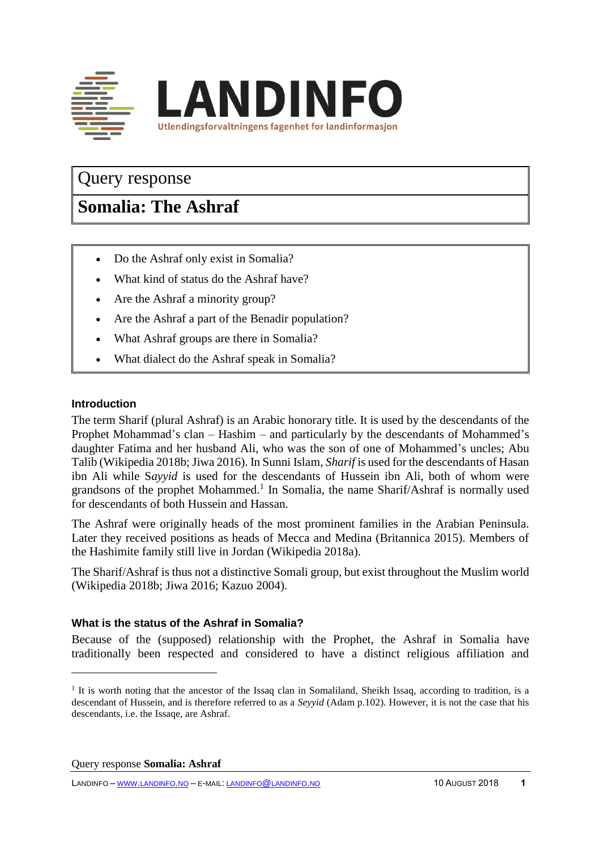

## Query response

# **Somalia: The Ashraf**

- Do the Ashraf only exist in Somalia?
- What kind of status do the Ashraf have?
- Are the Ashraf a minority group?
- Are the Ashraf a part of the Benadir population?
- What Ashraf groups are there in Somalia?
- What dialect do the Ashraf speak in Somalia?

### **Introduction**

 $\overline{a}$ 

The term Sharif (plural Ashraf) is an Arabic honorary title. It is used by the descendants of the Prophet Mohammad's clan – Hashim – and particularly by the descendants of Mohammed's daughter Fatima and her husband Ali, who was the son of one of Mohammed's uncles; Abu Talib (Wikipedia 2018b; Jiwa 2016). In Sunni Islam, *Sharif* is used for the descendants of Hasan ibn Ali while S*ayyid* is used for the descendants of Hussein ibn Ali, both of whom were grandsons of the prophet Mohammed.<sup>1</sup> In Somalia, the name Sharif/Ashraf is normally used for descendants of both Hussein and Hassan.

The Ashraf were originally heads of the most prominent families in the Arabian Peninsula. Later they received positions as heads of Mecca and Medina (Britannica 2015). Members of the Hashimite family still live in Jordan (Wikipedia 2018a).

The Sharif/Ashraf is thus not a distinctive Somali group, but exist throughout the Muslim world (Wikipedia 2018b; Jiwa 2016; Kazuo 2004).

#### **What is the status of the Ashraf in Somalia?**

Because of the (supposed) relationship with the Prophet, the Ashraf in Somalia have traditionally been respected and considered to have a distinct religious affiliation and

Query response **Somalia: Ashraf**

LANDINFO – WWW.[LANDINFO](http://www.landinfo.no/).NO – E-MAIL: [LANDINFO](mailto:landinfo@landinfo.no)@LANDINFO.NO 10 AUGUST 2018 **1**

<sup>&</sup>lt;sup>1</sup> It is worth noting that the ancestor of the Issaq clan in Somaliland, Sheikh Issaq, according to tradition, is a descendant of Hussein, and is therefore referred to as a *Seyyid* (Adam p.102). However, it is not the case that his descendants, i.e. the Issaqe, are Ashraf.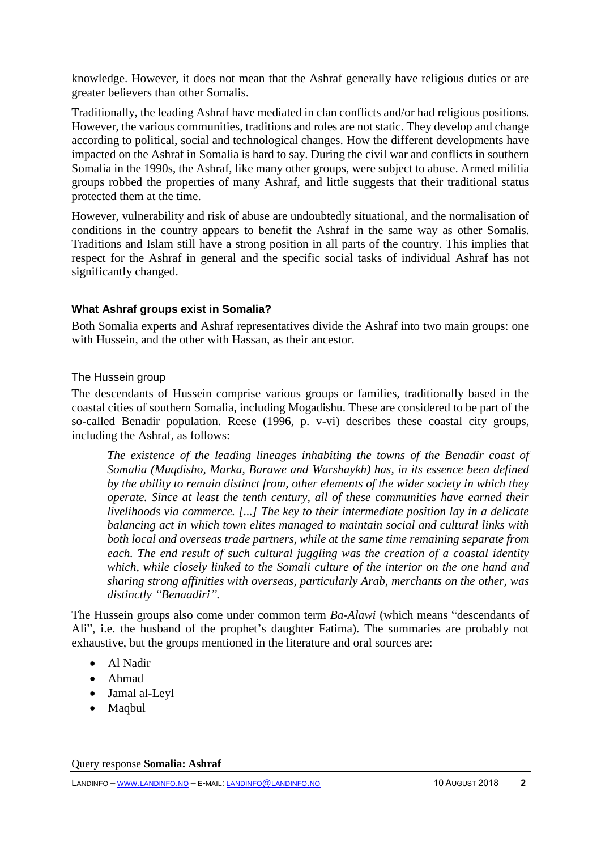knowledge. However, it does not mean that the Ashraf generally have religious duties or are greater believers than other Somalis.

Traditionally, the leading Ashraf have mediated in clan conflicts and/or had religious positions. However, the various communities, traditions and roles are not static. They develop and change according to political, social and technological changes. How the different developments have impacted on the Ashraf in Somalia is hard to say. During the civil war and conflicts in southern Somalia in the 1990s, the Ashraf, like many other groups, were subject to abuse. Armed militia groups robbed the properties of many Ashraf, and little suggests that their traditional status protected them at the time.

However, vulnerability and risk of abuse are undoubtedly situational, and the normalisation of conditions in the country appears to benefit the Ashraf in the same way as other Somalis. Traditions and Islam still have a strong position in all parts of the country. This implies that respect for the Ashraf in general and the specific social tasks of individual Ashraf has not significantly changed.

## **What Ashraf groups exist in Somalia?**

Both Somalia experts and Ashraf representatives divide the Ashraf into two main groups: one with Hussein, and the other with Hassan, as their ancestor.

## The Hussein group

The descendants of Hussein comprise various groups or families, traditionally based in the coastal cities of southern Somalia, including Mogadishu. These are considered to be part of the so-called Benadir population. Reese (1996, p. v-vi) describes these coastal city groups, including the Ashraf, as follows:

*The existence of the leading lineages inhabiting the towns of the Benadir coast of Somalia (Muqdisho, Marka, Barawe and Warshaykh) has, in its essence been defined by the ability to remain distinct from, other elements of the wider society in which they operate. Since at least the tenth century, all of these communities have earned their livelihoods via commerce. [...] The key to their intermediate position lay in a delicate balancing act in which town elites managed to maintain social and cultural links with both local and overseas trade partners, while at the same time remaining separate from each. The end result of such cultural juggling was the creation of a coastal identity which, while closely linked to the Somali culture of the interior on the one hand and sharing strong affinities with overseas, particularly Arab, merchants on the other, was distinctly "Benaadiri".*

The Hussein groups also come under common term *Ba-Alawi* (which means "descendants of Ali", i.e. the husband of the prophet's daughter Fatima). The summaries are probably not exhaustive, but the groups mentioned in the literature and oral sources are:

- Al Nadir
- Ahmad
- Jamal al-Leyl
- Maqbul

Query response **Somalia: Ashraf**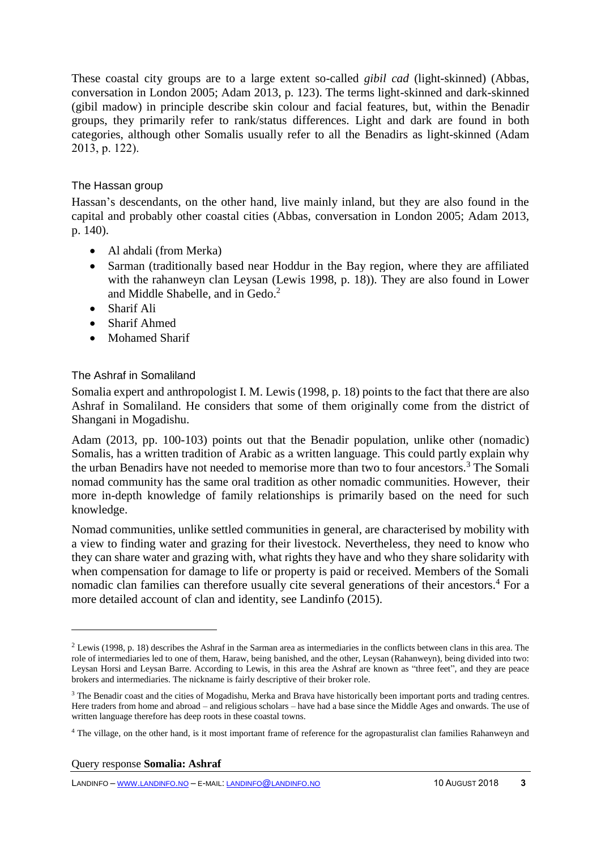These coastal city groups are to a large extent so-called *gibil cad* (light-skinned) (Abbas, conversation in London 2005; Adam 2013, p. 123). The terms light-skinned and dark-skinned (gibil madow) in principle describe skin colour and facial features, but, within the Benadir groups, they primarily refer to rank/status differences. Light and dark are found in both categories, although other Somalis usually refer to all the Benadirs as light-skinned (Adam 2013, p. 122).

## The Hassan group

Hassan's descendants, on the other hand, live mainly inland, but they are also found in the capital and probably other coastal cities (Abbas, conversation in London 2005; Adam 2013, p. 140).

- Al ahdali (from Merka)
- Sarman (traditionally based near Hoddur in the Bay region, where they are affiliated with the rahanweyn clan Leysan (Lewis 1998, p. 18)). They are also found in Lower and Middle Shabelle, and in Gedo.<sup>2</sup>
- Sharif Ali
- Sharif Ahmed
- Mohamed Sharif

## The Ashraf in Somaliland

Somalia expert and anthropologist I. M. Lewis (1998, p. 18) points to the fact that there are also Ashraf in Somaliland. He considers that some of them originally come from the district of Shangani in Mogadishu.

Adam (2013, pp. 100-103) points out that the Benadir population, unlike other (nomadic) Somalis, has a written tradition of Arabic as a written language. This could partly explain why the urban Benadirs have not needed to memorise more than two to four ancestors.<sup>3</sup> The Somali nomad community has the same oral tradition as other nomadic communities. However, their more in-depth knowledge of family relationships is primarily based on the need for such knowledge.

Nomad communities, unlike settled communities in general, are characterised by mobility with a view to finding water and grazing for their livestock. Nevertheless, they need to know who they can share water and grazing with, what rights they have and who they share solidarity with when compensation for damage to life or property is paid or received. Members of the Somali nomadic clan families can therefore usually cite several generations of their ancestors.<sup>4</sup> For a more detailed account of clan and identity, see Landinfo (2015).

 $\overline{a}$ 

<sup>&</sup>lt;sup>2</sup> Lewis (1998, p. 18) describes the Ashraf in the Sarman area as intermediaries in the conflicts between clans in this area. The role of intermediaries led to one of them, Haraw, being banished, and the other, Leysan (Rahanweyn), being divided into two: Leysan Horsi and Leysan Barre. According to Lewis, in this area the Ashraf are known as "three feet", and they are peace brokers and intermediaries. The nickname is fairly descriptive of their broker role.

<sup>&</sup>lt;sup>3</sup> The Benadir coast and the cities of Mogadishu, Merka and Brava have historically been important ports and trading centres. Here traders from home and abroad – and religious scholars – have had a base since the Middle Ages and onwards. The use of written language therefore has deep roots in these coastal towns.

<sup>4</sup> The village, on the other hand, is it most important frame of reference for the agropasturalist clan families Rahanweyn and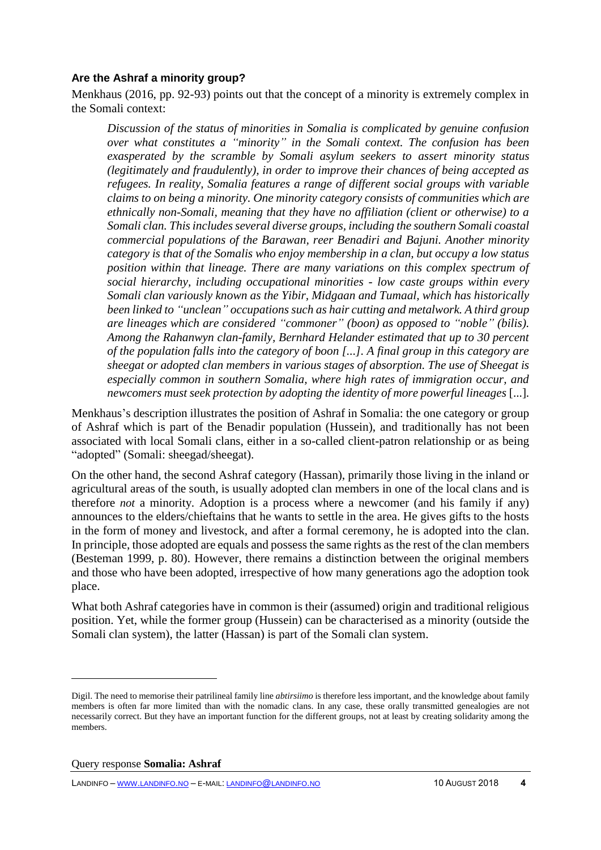### **Are the Ashraf a minority group?**

Menkhaus (2016, pp. 92-93) points out that the concept of a minority is extremely complex in the Somali context:

*Discussion of the status of minorities in Somalia is complicated by genuine confusion over what constitutes a "minority" in the Somali context. The confusion has been exasperated by the scramble by Somali asylum seekers to assert minority status (legitimately and fraudulently), in order to improve their chances of being accepted as refugees. In reality, Somalia features a range of different social groups with variable claims to on being a minority. One minority category consists of communities which are ethnically non-Somali, meaning that they have no affiliation (client or otherwise) to a Somali clan. This includes several diverse groups, including the southern Somali coastal commercial populations of the Barawan, reer Benadiri and Bajuni. Another minority category is that of the Somalis who enjoy membership in a clan, but occupy a low status position within that lineage. There are many variations on this complex spectrum of social hierarchy, including occupational minorities - low caste groups within every Somali clan variously known as the Yibir, Midgaan and Tumaal, which has historically been linked to "unclean" occupations such as hair cutting and metalwork. A third group are lineages which are considered "commoner" (boon) as opposed to "noble" (bilis). Among the Rahanwyn clan-family, Bernhard Helander estimated that up to 30 percent of the population falls into the category of boon [...]. A final group in this category are sheegat or adopted clan members in various stages of absorption. The use of Sheegat is especially common in southern Somalia, where high rates of immigration occur, and newcomers must seek protection by adopting the identity of more powerful lineages* [...]*.*

Menkhaus's description illustrates the position of Ashraf in Somalia: the one category or group of Ashraf which is part of the Benadir population (Hussein), and traditionally has not been associated with local Somali clans, either in a so-called client-patron relationship or as being "adopted" (Somali: sheegad/sheegat).

On the other hand, the second Ashraf category (Hassan), primarily those living in the inland or agricultural areas of the south, is usually adopted clan members in one of the local clans and is therefore *not* a minority. Adoption is a process where a newcomer (and his family if any) announces to the elders/chieftains that he wants to settle in the area. He gives gifts to the hosts in the form of money and livestock, and after a formal ceremony, he is adopted into the clan. In principle, those adopted are equals and possess the same rights as the rest of the clan members (Besteman 1999, p. 80). However, there remains a distinction between the original members and those who have been adopted, irrespective of how many generations ago the adoption took place.

What both Ashraf categories have in common is their (assumed) origin and traditional religious position. Yet, while the former group (Hussein) can be characterised as a minority (outside the Somali clan system), the latter (Hassan) is part of the Somali clan system.

 $\overline{a}$ 

Digil. The need to memorise their patrilineal family line *abtirsiimo* is therefore less important, and the knowledge about family members is often far more limited than with the nomadic clans. In any case, these orally transmitted genealogies are not necessarily correct. But they have an important function for the different groups, not at least by creating solidarity among the members.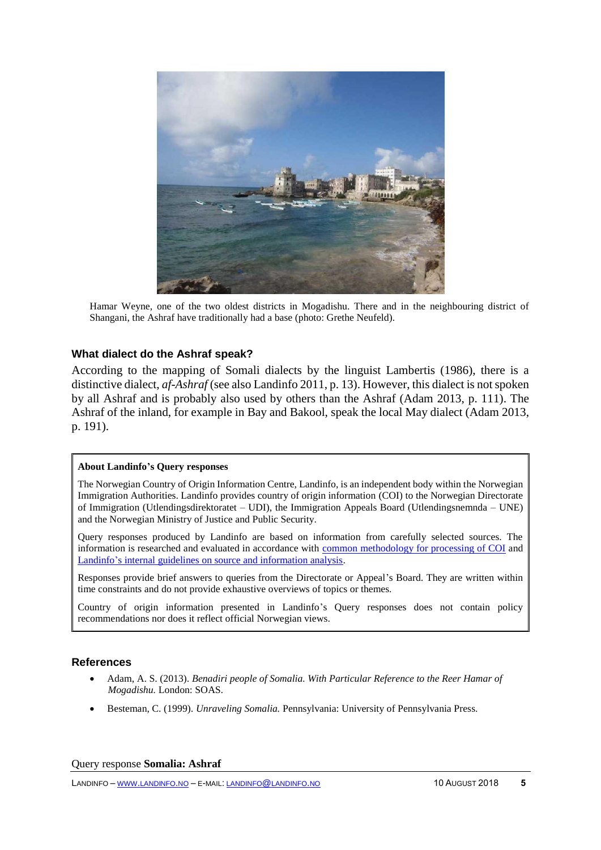

Hamar Weyne, one of the two oldest districts in Mogadishu. There and in the neighbouring district of Shangani, the Ashraf have traditionally had a base (photo: Grethe Neufeld).

#### **What dialect do the Ashraf speak?**

According to the mapping of Somali dialects by the linguist Lambertis (1986), there is a distinctive dialect, *af-Ashraf* (see also Landinfo 2011, p. 13). However, this dialect is not spoken by all Ashraf and is probably also used by others than the Ashraf (Adam 2013, p. 111). The Ashraf of the inland, for example in Bay and Bakool, speak the local May dialect (Adam 2013, p. 191).

#### **About Landinfo's Query responses**

The Norwegian Country of Origin Information Centre, Landinfo, is an independent body within the Norwegian Immigration Authorities. Landinfo provides country of origin information (COI) to the Norwegian Directorate of Immigration (Utlendingsdirektoratet – UDI), the Immigration Appeals Board (Utlendingsnemnda – UNE) and the Norwegian Ministry of Justice and Public Security.

Query responses produced by Landinfo are based on information from carefully selected sources. The information is researched and evaluated in accordance with [common methodology for processing of COI](http://www.landinfo.no/id/20.0) and [Landinfo's internal guidelines on source and information analysis.](http://www.landinfo.no/asset/3135/1/3135_1.pdf)

Responses provide brief answers to queries from the Directorate or Appeal's Board. They are written within time constraints and do not provide exhaustive overviews of topics or themes.

Country of origin information presented in Landinfo's Query responses does not contain policy recommendations nor does it reflect official Norwegian views.

#### **References**

- Adam, A. S. (2013). *Benadiri people of Somalia. With Particular Reference to the Reer Hamar of Mogadishu.* London: SOAS.
- Besteman, C. (1999). *Unraveling Somalia.* Pennsylvania: University of Pennsylvania Press.

#### Query response **Somalia: Ashraf**

LANDINFO – WWW.[LANDINFO](http://www.landinfo.no/).NO – E-MAIL: [LANDINFO](mailto:landinfo@landinfo.no)@LANDINFO.NO 10 AUGUST 2018 **5**